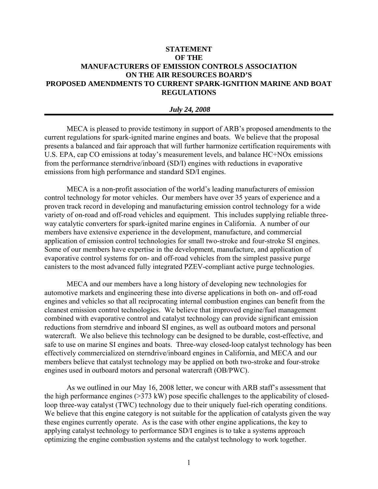## **STATEMENT OF THE MANUFACTURERS OF EMISSION CONTROLS ASSOCIATION ON THE AIR RESOURCES BOARD'S PROPOSED AMENDMENTS TO CURRENT SPARK-IGNITION MARINE AND BOAT REGULATIONS**

## *July 24, 2008*

MECA is pleased to provide testimony in support of ARB's proposed amendments to the current regulations for spark-ignited marine engines and boats. We believe that the proposal presents a balanced and fair approach that will further harmonize certification requirements with U.S. EPA, cap CO emissions at today's measurement levels, and balance HC+NOx emissions from the performance sterndrive/inboard (SD/I) engines with reductions in evaporative emissions from high performance and standard SD/I engines.

MECA is a non-profit association of the world's leading manufacturers of emission control technology for motor vehicles. Our members have over 35 years of experience and a proven track record in developing and manufacturing emission control technology for a wide variety of on-road and off-road vehicles and equipment. This includes supplying reliable threeway catalytic converters for spark-ignited marine engines in California. A number of our members have extensive experience in the development, manufacture, and commercial application of emission control technologies for small two-stroke and four-stroke SI engines. Some of our members have expertise in the development, manufacture, and application of evaporative control systems for on- and off-road vehicles from the simplest passive purge canisters to the most advanced fully integrated PZEV-compliant active purge technologies.

MECA and our members have a long history of developing new technologies for automotive markets and engineering these into diverse applications in both on- and off-road engines and vehicles so that all reciprocating internal combustion engines can benefit from the cleanest emission control technologies. We believe that improved engine/fuel management combined with evaporative control and catalyst technology can provide significant emission reductions from sterndrive and inboard SI engines, as well as outboard motors and personal watercraft. We also believe this technology can be designed to be durable, cost-effective, and safe to use on marine SI engines and boats. Three-way closed-loop catalyst technology has been effectively commercialized on sterndrive/inboard engines in California, and MECA and our members believe that catalyst technology may be applied on both two-stroke and four-stroke engines used in outboard motors and personal watercraft (OB/PWC).

As we outlined in our May 16, 2008 letter, we concur with ARB staff's assessment that the high performance engines  $(>= 373 \text{ kW})$  pose specific challenges to the applicability of closedloop three-way catalyst (TWC) technology due to their uniquely fuel-rich operating conditions. We believe that this engine category is not suitable for the application of catalysts given the way these engines currently operate. As is the case with other engine applications, the key to applying catalyst technology to performance SD/I engines is to take a systems approach optimizing the engine combustion systems and the catalyst technology to work together.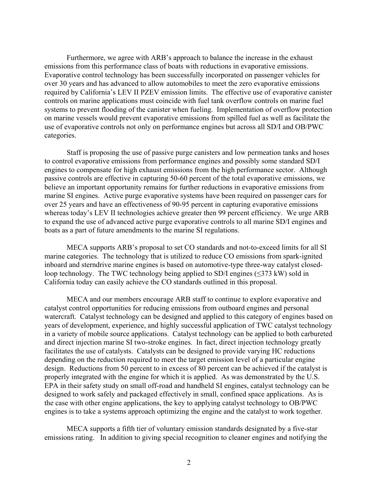Furthermore, we agree with ARB's approach to balance the increase in the exhaust emissions from this performance class of boats with reductions in evaporative emissions. Evaporative control technology has been successfully incorporated on passenger vehicles for over 30 years and has advanced to allow automobiles to meet the zero evaporative emissions required by California's LEV II PZEV emission limits. The effective use of evaporative canister controls on marine applications must coincide with fuel tank overflow controls on marine fuel systems to prevent flooding of the canister when fueling. Implementation of overflow protection on marine vessels would prevent evaporative emissions from spilled fuel as well as facilitate the use of evaporative controls not only on performance engines but across all SD/I and OB/PWC categories.

Staff is proposing the use of passive purge canisters and low permeation tanks and hoses to control evaporative emissions from performance engines and possibly some standard SD/I engines to compensate for high exhaust emissions from the high performance sector. Although passive controls are effective in capturing 50-60 percent of the total evaporative emissions, we believe an important opportunity remains for further reductions in evaporative emissions from marine SI engines. Active purge evaporative systems have been required on passenger cars for over 25 years and have an effectiveness of 90-95 percent in capturing evaporative emissions whereas today's LEV II technologies achieve greater then 99 percent efficiency. We urge ARB to expand the use of advanced active purge evaporative controls to all marine SD/I engines and boats as a part of future amendments to the marine SI regulations.

MECA supports ARB's proposal to set CO standards and not-to-exceed limits for all SI marine categories. The technology that is utilized to reduce CO emissions from spark-ignited inboard and sterndrive marine engines is based on automotive-type three-way catalyst closedloop technology. The TWC technology being applied to SD/I engines (≤373 kW) sold in California today can easily achieve the CO standards outlined in this proposal.

MECA and our members encourage ARB staff to continue to explore evaporative and catalyst control opportunities for reducing emissions from outboard engines and personal watercraft. Catalyst technology can be designed and applied to this category of engines based on years of development, experience, and highly successful application of TWC catalyst technology in a variety of mobile source applications. Catalyst technology can be applied to both carbureted and direct injection marine SI two-stroke engines. In fact, direct injection technology greatly facilitates the use of catalysts. Catalysts can be designed to provide varying HC reductions depending on the reduction required to meet the target emission level of a particular engine design. Reductions from 50 percent to in excess of 80 percent can be achieved if the catalyst is properly integrated with the engine for which it is applied. As was demonstrated by the U.S. EPA in their safety study on small off-road and handheld SI engines, catalyst technology can be designed to work safely and packaged effectively in small, confined space applications. As is the case with other engine applications, the key to applying catalyst technology to OB/PWC engines is to take a systems approach optimizing the engine and the catalyst to work together.

MECA supports a fifth tier of voluntary emission standards designated by a five-star emissions rating. In addition to giving special recognition to cleaner engines and notifying the